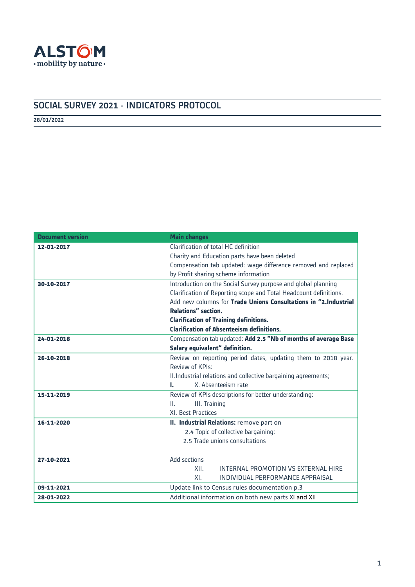

# SOCIAL SURVEY 2021 - INDICATORS PROTOCOL

28/01/2022

| <b>Document version</b> | <b>Main changes</b>                                               |
|-------------------------|-------------------------------------------------------------------|
| 12-01-2017              | Clarification of total HC definition                              |
|                         | Charity and Education parts have been deleted                     |
|                         | Compensation tab updated: wage difference removed and replaced    |
|                         | by Profit sharing scheme information                              |
| 30-10-2017              | Introduction on the Social Survey purpose and global planning     |
|                         | Clarification of Reporting scope and Total Headcount definitions. |
|                         | Add new columns for Trade Unions Consultations in "2.Industrial   |
|                         | <b>Relations"</b> section.                                        |
|                         | <b>Clarification of Training definitions.</b>                     |
|                         | <b>Clarification of Absenteeism definitions.</b>                  |
| 24-01-2018              | Compensation tab updated: Add 2.5 "Nb of months of average Base   |
|                         | Salary equivalent" definition.                                    |
| 26-10-2018              | Review on reporting period dates, updating them to 2018 year.     |
|                         | Review of KPIs:                                                   |
|                         | II. Industrial relations and collective bargaining agreements;    |
|                         | X. Absenteeism rate<br>L.                                         |
| 15-11-2019              | Review of KPIs descriptions for better understanding:             |
|                         | III. Training<br>$\mathbf{II}$ .                                  |
|                         | XI. Best Practices                                                |
| 16-11-2020              | II. Industrial Relations: remove part on                          |
|                         | 2.4 Topic of collective bargaining:                               |
|                         | 2.5 Trade unions consultations                                    |
|                         |                                                                   |
| 27-10-2021              | Add sections                                                      |
|                         | XII.<br>INTERNAL PROMOTION VS EXTERNAL HIRE                       |
|                         | XL<br>INDIVIDUAL PERFORMANCE APPRAISAL                            |
| 09-11-2021              | Update link to Census rules documentation p.3                     |
| 28-01-2022              | Additional information on both new parts XI and XII               |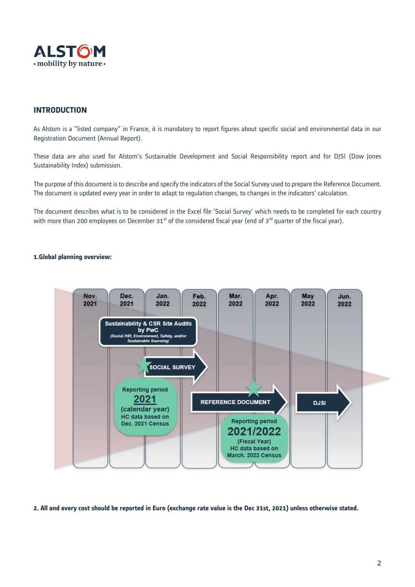

# **INTRODUCTION**

As Alstom is a "listed company" in France, it is mandatory to report figures about specific social and environmental data in our Registration Document (Annual Report).

These data are also used for Alstom's Sustainable Development and Social Responsibility report and for DJSI (Dow Jones Sustainability Index) submission.

The purpose of this document is to describe and specify the indicators of the Social Survey used to prepare the Reference Document. The document is updated every year in order to adapt to regulation changes, to changes in the indicators' calculation.

The document describes what is to be considered in the Excel file 'Social Survey' which needs to be completed for each country with more than 200 employees on December 31<sup>st</sup> of the considered fiscal year (end of 3<sup>rd</sup> quarter of the fiscal year).

# **1.Global planning overview:**



**2. All and every cost should be reported in Euro (exchange rate value is the Dec 31st, 2021) unless otherwise stated.**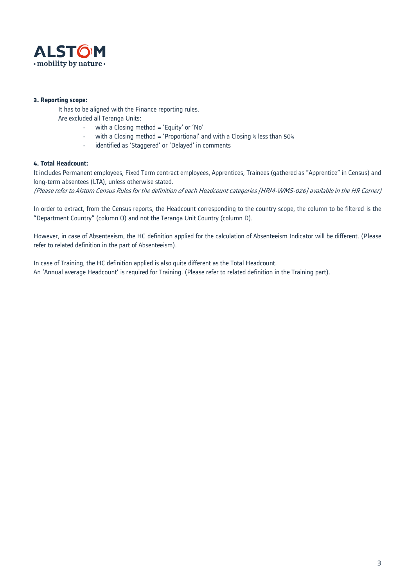

### **3. Reporting scope:**

It has to be aligned with the Finance reporting rules.

Are excluded all Teranga Units:

- with a Closing method = 'Equity' or 'No'
- with a Closing method = 'Proportional' and with a Closing % less than 50%
- identified as 'Staggered' or 'Delayed' in comments

# **4. Total Headcount:**

It includes Permanent employees, Fixed Term contract employees, Apprentices, Trainees (gathered as "Apprentice" in Census) and long-term absentees (LTA), unless otherwise stated.

(Please refer t[o Alstom Census Rules](https://alstomgroup.sharepoint.com/:b:/r/sites/TrHRCornerTeamSpace_Community/3%20ALPS%20Corner/01%20-%20Census%20Report/HRM_WMS_026_Census_Rules_5Dec%202016%20clean.pdf?csf=1&web=1&e=lYv5zY) for the definition of each Headcount categories [HRM-WMS-026] available in the HR Corner)

In order to extract, from the Census reports, the Headcount corresponding to the country scope, the column to be filtered is the "Department Country" (column O) and not the Teranga Unit Country (column D).

However, in case of Absenteeism, the HC definition applied for the calculation of Absenteeism Indicator will be different. (Please refer to related definition in the part of Absenteeism).

In case of Training, the HC definition applied is also quite different as the Total Headcount. An 'Annual average Headcount' is required for Training. (Please refer to related definition in the Training part).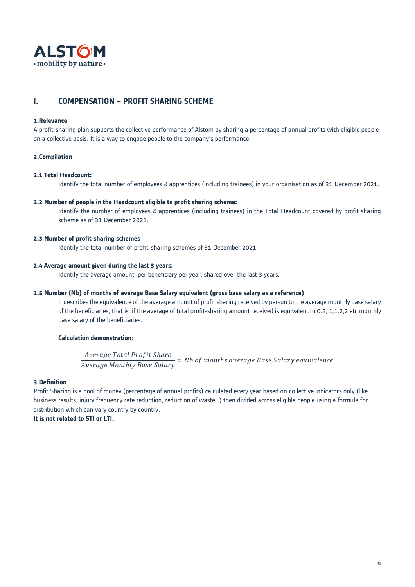

# **I. COMPENSATION – PROFIT SHARING SCHEME**

#### **1.Relevance**

A profit-sharing plan supports the collective performance of Alstom by sharing a percentage of annual profits with eligible people on a collective basis. It is a way to engage people to the company's performance.

### **2.Compilation**

#### **2.1 Total Headcount:**

Identify the total number of employees & apprentices (including trainees) in your organisation as of 31 December 2021.

#### **2.2 Number of people in the Headcount eligible to profit sharing scheme:**

Identify the number of employees & apprentices (including trainees) in the Total Headcount covered by profit sharing scheme as of 31 December 2021.

#### **2.3 Number of profit-sharing schemes**

Identify the total number of profit-sharing schemes of 31 December 2021.

#### **2.4 Average amount given during the last 3 years:**

Identify the average amount, per beneficiary per year, shared over the last 3 years.

#### **2.5 Number (Nb) of months of average Base Salary equivalent (gross base salary as a reference)**

It describes the equivalence of the average amount of profit sharing received by person to the average monthly base salary of the beneficiaries, that is, if the average of total profit-sharing amount received is equivalent to 0.5, 1,1.2,2 etc monthly base salary of the beneficiaries.

#### **Calculation demonstration:**

\_Average Total Profit Share<br>Average Monthly Base Salary = Nb of months average Base Salary equivalence

#### **3.Definition**

Profit Sharing is a pool of money (percentage of annual profits) calculated every year based on collective indicators only (like business results, injury frequency rate reduction, reduction of waste…) then divided across eligible people using a formula for distribution which can vary country by country.

**It is not related to STI or LTI.**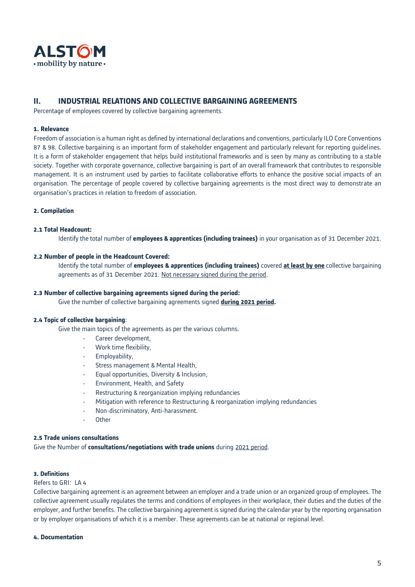

# **II. INDUSTRIAL RELATIONS AND COLLECTIVE BARGAINING AGREEMENTS**

Percentage of employees covered by collective bargaining agreements.

### **1. Relevance**

Freedom of association is a human right as defined by international declarations and conventions, particularly ILO Core Conventions 87 & 98. Collective bargaining is an important form of stakeholder engagement and particularly relevant for reporting guidelines. It is a form of stakeholder engagement that helps build institutional frameworks and is seen by many as contributing to a stable society. Together with corporate governance, collective bargaining is part of an overall framework that contributes to responsible management. It is an instrument used by parties to facilitate collaborative efforts to enhance the positive social impacts of an organisation. The percentage of people covered by collective bargaining agreements is the most direct way to demonstrate an organisation's practices in relation to freedom of association.

### **2. Compilation**

#### **2.1 Total Headcount:**

Identify the total number of **employees & apprentices (including trainees)** in your organisation as of 31 December 2021.

### **2.2 Number of people in the Headcount Covered:**

Identify the total number of **employees & apprentices (including trainees)** covered **at least by one** collective bargaining agreements as of 31 December 2021. Not necessary signed during the period.

#### **2.3 Number of collective bargaining agreements signed during the period:**

Give the number of collective bargaining agreements signed **during 2021 period.**

### **2.4 Topic of collective bargaining**:

Give the main topics of the agreements as per the various columns.

- Career development,
- Work time flexibility,
- Employability,
- Stress management & Mental Health,
- Equal opportunities, Diversity & Inclusion,
- Environment, Health, and Safety
- Restructuring & reorganization implying redundancies
- Mitigation with reference to Restructuring & reorganization implying redundancies
- Non-discriminatory, Anti-harassment.
- Other

#### **2.5 Trade unions consultations**

Give the Number of **consultations/negotiations with trade unions** during 2021 period.

#### **3. Definitions**

#### Refers to GRI: LA 4

Collective bargaining agreement is an agreement between an employer and a trade [union](http://www.duhaime.org/LegalDictionary/T/TradeUnion.aspx) or an organized group of employees. The collective agreement usually regulates the terms and conditions of employees in their workplace, their duties and the duties of the employer, and further benefits. The collective bargaining agreement is signed during the calendar year by the reporting organisation or by employer organisations of which it is a member. These agreements can be at national or regional level.

### **4. Documentation**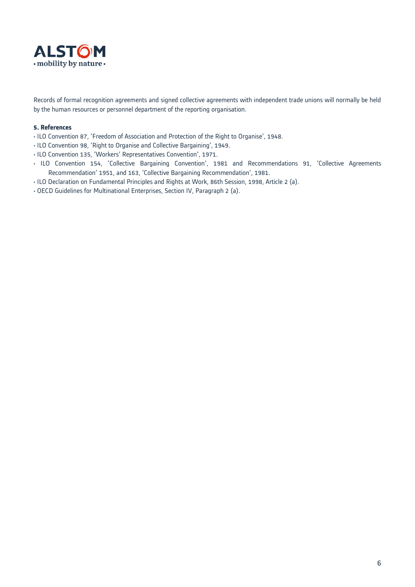

Records of formal recognition agreements and signed collective agreements with independent trade unions will normally be held by the human resources or personnel department of the reporting organisation.

- ILO Convention 87, 'Freedom of Association and Protection of the Right to Organise', 1948.
- ILO Convention 98, 'Right to Organise and Collective Bargaining', 1949.
- ILO Convention 135, 'Workers' Representatives Convention', 1971.
- ILO Convention 154, 'Collective Bargaining Convention', 1981 and Recommendations 91, 'Collective Agreements Recommendation' 1951, and 163, 'Collective Bargaining Recommendation', 1981.
- ILO Declaration on Fundamental Principles and Rights at Work, 86th Session, 1998, Article 2 (a).
- OECD Guidelines for Multinational Enterprises, Section IV, Paragraph 2 (a).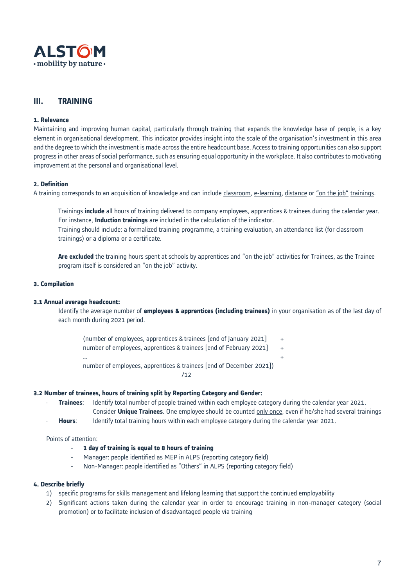

# **III. TRAINING**

#### **1. Relevance**

Maintaining and improving human capital, particularly through training that expands the knowledge base of people, is a key element in organisational development. This indicator provides insight into the scale of the organisation's investment in this area and the degree to which the investment is made across the entire headcount base. Access to training opportunities can also support progress in other areas of social performance, such as ensuring equal opportunity in the workplace. It also contributes to motivating improvement at the personal and organisational level.

### **2. Definition**

A training corresponds to an acquisition of knowledge and can include classroom, e-learning, distance or "on the job" trainings.

Trainings **include** all hours of training delivered to company employees, apprentices & trainees during the calendar year. For instance, **Induction trainings** are included in the calculation of the indicator. Training should include: a formalized training programme, a training evaluation, an attendance list (for classroom trainings) or a diploma or a certificate.

**Are excluded** the training hours spent at schools by apprentices and "on the job" activities for Trainees, as the Trainee program itself is considered an "on the job" activity.

#### **3. Compilation**

#### **3.1 Annual average headcount:**

Identify the average number of **employees & apprentices (including trainees)** in your organisation as of the last day of each month during 2021 period.

(number of employees, apprentices & trainees [end of January 2021] + number of employees, apprentices & trainees [end of February 2021] +

 $\mathbf{m}$  , and the contract of the contract of the contract of the contract of the contract of the contract of the contract of the contract of the contract of the contract of the contract of the contract of the contract o number of employees, apprentices & trainees [end of December 2021])  $112$ 

#### **3.2 Number of trainees, hours of training split by Reporting Category and Gender:**

- **Trainees**: Identify total number of people trained within each employee category during the calendar year 2021. Consider **Unique Trainees**. One employee should be counted only once, even if he/she had several trainings
- **Hours**: Identify total training hours within each employee category during the calendar year 2021.

### Points of attention:

- 1 day of training is equal to 8 hours of training
- Manager: people identified as MEP in ALPS (reporting category field)
- Non-Manager: people identified as "Others" in ALPS (reporting category field)

#### **4. Describe briefly**

- 1) specific programs for skills management and lifelong learning that support the continued employability
- 2) Significant actions taken during the calendar year in order to encourage training in non-manager category (social promotion) or to facilitate inclusion of disadvantaged people via training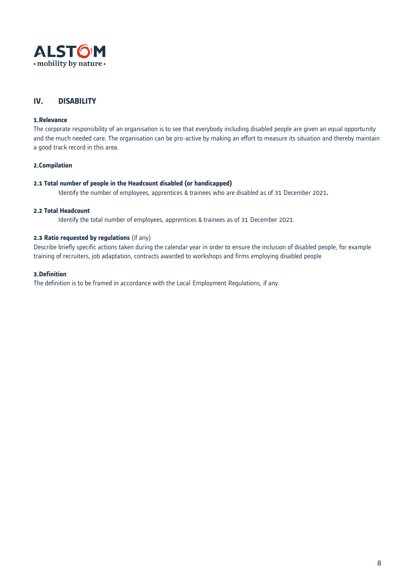

# **IV. DISABILITY**

# **1.Relevance**

The corporate responsibility of an organisation is to see that everybody including disabled people are given an equal opportunity and the much needed care. The organisation can be pro-active by making an effort to measure its situation and thereby maintain a good track record in this area.

#### **2.Compilation**

#### **2.1 Total number of people in the Headcount disabled (or handicapped)**

Identify the number of employees, apprentices & trainees who are disabled as of 31 December 2021**.**

# **2.2 Total Headcount**

Identify the total number of employees, apprentices & trainees as of 31 December 2021.

#### **2.3 Ratio requested by regulations** (if any)

Describe briefly specific actions taken during the calendar year in order to ensure the inclusion of disabled people, for example training of recruiters, job adaptation, contracts awarded to workshops and firms employing disabled people

#### **3.Definition**

The definition is to be framed in accordance with the Local Employment Regulations, if any.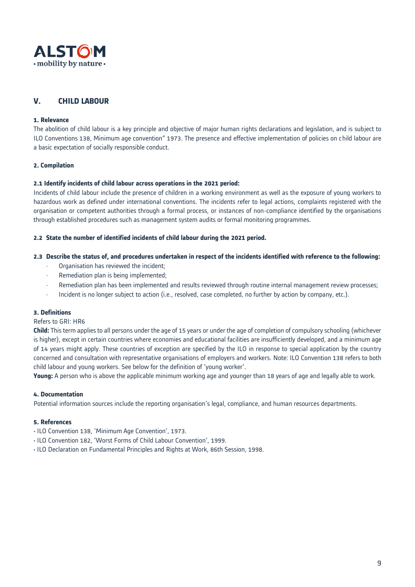

# **V. CHILD LABOUR**

### **1. Relevance**

The abolition of child labour is a key principle and objective of major human rights declarations and legislation, and is subject to ILO Conventions 138, Minimum age convention" 1973. The presence and effective implementation of policies on child labour are a basic expectation of socially responsible conduct.

# **2. Compilation**

### **2.1 Identify incidents of child labour across operations in the 2021 period:**

Incidents of child labour include the presence of children in a working environment as well as the exposure of young workers to hazardous work as defined under international conventions. The incidents refer to legal actions, complaints registered with the organisation or competent authorities through a formal process, or instances of non-compliance identified by the organisations through established procedures such as management system audits or formal monitoring programmes.

### **2.2 State the number of identified incidents of child labour during the 2021 period.**

# **2.3 Describe the status of, and procedures undertaken in respect of the incidents identified with reference to the following:**

- Organisation has reviewed the incident;
- Remediation plan is being implemented;
- Remediation plan has been implemented and results reviewed through routine internal management review processes;
- Incident is no longer subject to action (i.e., resolved, case completed, no further by action by company, etc.).

### **3. Definitions**

#### Refers to GRI: HR6

**Child:** This term applies to all persons under the age of 15 years or under the age of completion of compulsory schooling (whichever is higher), except in certain countries where economies and educational facilities are insufficiently developed, and a minimum age of 14 years might apply. These countries of exception are specified by the ILO in response to special application by the country concerned and consultation with representative organisations of employers and workers. Note: ILO Convention 138 refers to both child labour and young workers. See below for the definition of 'young worker'.

**Young:** A person who is above the applicable minimum working age and younger than 18 years of age and legally able to work.

## **4. Documentation**

Potential information sources include the reporting organisation's legal, compliance, and human resources departments.

- ILO Convention 138, 'Minimum Age Convention', 1973.
- ILO Convention 182, 'Worst Forms of Child Labour Convention', 1999.
- ILO Declaration on Fundamental Principles and Rights at Work, 86th Session, 1998.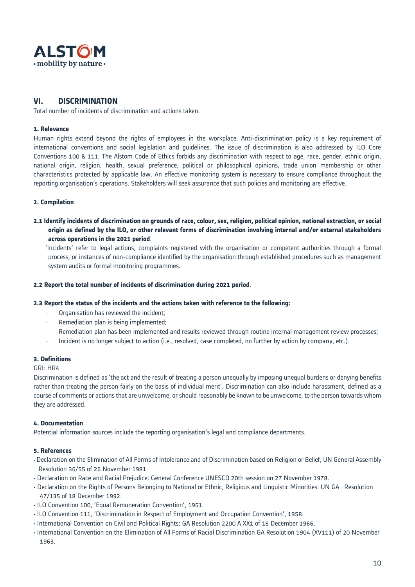

# **VI. DISCRIMINATION**

Total number of incidents of discrimination and actions taken.

### **1. Relevance**

Human rights extend beyond the rights of employees in the workplace. Anti-discrimination policy is a key requirement of international conventions and social legislation and guidelines. The issue of discrimination is also addressed by ILO Core Conventions 100 & 111. The Alstom Code of Ethics forbids any discrimination with respect to age, race, gender, ethnic origin, national origin, religion, health, sexual preference, political or philosophical opinions, trade union membership or other characteristics protected by applicable law. An effective monitoring system is necessary to ensure compliance throughout the reporting organisation's operations. Stakeholders will seek assurance that such policies and monitoring are effective.

### **2. Compilation**

**2.1 Identify incidents of discrimination on grounds of race, colour, sex, religion, political opinion, national extraction, or social origin as defined by the ILO, or other relevant forms of discrimination involving internal and/or external stakeholders across operations in the 2021 period**:

 'Incidents' refer to legal actions, complaints registered with the organisation or competent authorities through a formal process, or instances of non-compliance identified by the organisation through established procedures such as management system audits or formal monitoring programmes.

### **2.2 Report the total number of incidents of discrimination during 2021 period**.

### **2.3 Report the status of the incidents and the actions taken with reference to the following:**

- Organisation has reviewed the incident;
- Remediation plan is being implemented;
- Remediation plan has been implemented and results reviewed through routine internal management review processes;
- Incident is no longer subject to action (i.e., resolved, case completed, no further by action by company, etc.).

### **3. Definitions**

#### GRI: HR4

Discrimination is defined as 'the act and the result of treating a person unequally by imposing unequal burdens or denying benefits rather than treating the person fairly on the basis of individual merit'. Discrimination can also include harassment, defined as a course of comments or actions that are unwelcome, or should reasonably be known to be unwelcome, to the person towards whom they are addressed.

### **4. Documentation**

Potential information sources include the reporting organisation's legal and compliance departments.

- Declaration on the Elimination of All Forms of Intolerance and of Discrimination based on Religion or Belief, UN General Assembly Resolution 36/55 of 26 November 1981.
- Declaration on Race and Racial Prejudice: General Conference UNESCO 20th session on 27 November 1978.
- Declaration on the Rights of Persons Belonging to National or Ethnic, Religious and Linguistic Minorities: UN GA Resolution 47/135 of 18 December 1992.
- ILO Convention 100, 'Equal Remuneration Convention', 1951.
- ILO Convention 111, 'Discrimination in Respect of Employment and Occupation Convention', 1958.
- International Convention on Civil and Political Rights: GA Resolution 2200 A XX1 of 16 December 1966.
- International Convention on the Elimination of All Forms of Racial Discrimination GA Resolution 1904 (XV111) of 20 November 1963.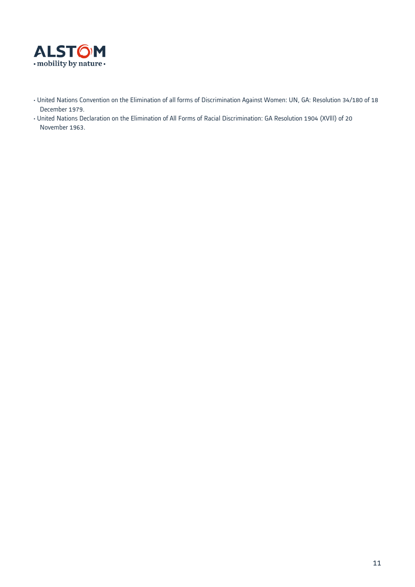

- United Nations Convention on the Elimination of all forms of Discrimination Against Women: UN, GA: Resolution 34/180 of 18 December 1979.
- United Nations Declaration on the Elimination of All Forms of Racial Discrimination: GA Resolution 1904 (XVlll) of 20 November 1963.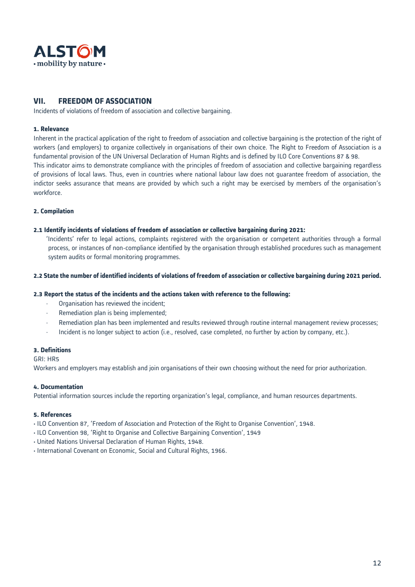

# **VII. FREEDOM OF ASSOCIATION**

Incidents of violations of freedom of association and collective bargaining.

### **1. Relevance**

Inherent in the practical application of the right to freedom of association and collective bargaining is the protection of the right of workers (and employers) to organize collectively in organisations of their own choice. The Right to Freedom of Association is a fundamental provision of the UN Universal Declaration of Human Rights and is defined by ILO Core Conventions 87 & 98. This indicator aims to demonstrate compliance with the principles of freedom of association and collective bargaining regardless of provisions of local laws. Thus, even in countries where national labour law does not guarantee freedom of association, the indictor seeks assurance that means are provided by which such a right may be exercised by members of the organisation's workforce.

### **2. Compilation**

#### **2.1 Identify incidents of violations of freedom of association or collective bargaining during 2021:**

'Incidents' refer to legal actions, complaints registered with the organisation or competent authorities through a formal process, or instances of non-compliance identified by the organisation through established procedures such as management system audits or formal monitoring programmes.

### **2.2 State the number of identified incidents of violations of freedom of association or collective bargaining during 2021 period.**

#### **2.3 Report the status of the incidents and the actions taken with reference to the following:**

- Organisation has reviewed the incident;
- Remediation plan is being implemented;
- Remediation plan has been implemented and results reviewed through routine internal management review processes;
- Incident is no longer subject to action (i.e., resolved, case completed, no further by action by company, etc.).

### **3. Definitions**

GRI: HR5

Workers and employers may establish and join organisations of their own choosing without the need for prior authorization.

### **4. Documentation**

Potential information sources include the reporting organization's legal, compliance, and human resources departments.

- ILO Convention 87, 'Freedom of Association and Protection of the Right to Organise Convention', 1948.
- ILO Convention 98, 'Right to Organise and Collective Bargaining Convention', 1949
- United Nations Universal Declaration of Human Rights, 1948.
- International Covenant on Economic, Social and Cultural Rights, 1966.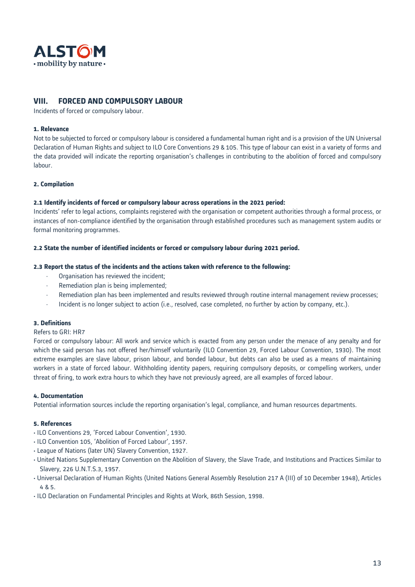

# **VIII. FORCED AND COMPULSORY LABOUR**

Incidents of forced or compulsory labour.

# **1. Relevance**

Not to be subjected to forced or compulsory labour is considered a fundamental human right and is a provision of the UN Universal Declaration of Human Rights and subject to ILO Core Conventions 29 & 105. This type of labour can exist in a variety of forms and the data provided will indicate the reporting organisation's challenges in contributing to the abolition of forced and compulsory labour.

# **2. Compilation**

### **2.1 Identify incidents of forced or compulsory labour across operations in the 2021 period:**

Incidents' refer to legal actions, complaints registered with the organisation or competent authorities through a formal process, or instances of non-compliance identified by the organisation through established procedures such as management system audits or formal monitoring programmes.

### **2.2 State the number of identified incidents or forced or compulsory labour during 2021 period.**

### **2.3 Report the status of the incidents and the actions taken with reference to the following:**

- Organisation has reviewed the incident;
- Remediation plan is being implemented;
- Remediation plan has been implemented and results reviewed through routine internal management review processes;
- Incident is no longer subject to action (i.e., resolved, case completed, no further by action by company, etc.).

### **3. Definitions**

### Refers to GRI: HR7

Forced or compulsory labour: All work and service which is exacted from any person under the menace of any penalty and for which the said person has not offered her/himself voluntarily (ILO Convention 29, Forced Labour Convention, 1930). The most extreme examples are slave labour, prison labour, and bonded labour, but debts can also be used as a means of maintaining workers in a state of forced labour. Withholding identity papers, requiring compulsory deposits, or compelling workers, under threat of firing, to work extra hours to which they have not previously agreed, are all examples of forced labour.

### **4. Documentation**

Potential information sources include the reporting organisation's legal, compliance, and human resources departments.

- ILO Conventions 29, 'Forced Labour Convention', 1930.
- ILO Convention 105, 'Abolition of Forced Labour', 1957.
- League of Nations (later UN) Slavery Convention, 1927.
- United Nations Supplementary Convention on the Abolition of Slavery, the Slave Trade, and Institutions and Practices Similar to Slavery, 226 U.N.T.S.3, 1957.
- Universal Declaration of Human Rights (United Nations General Assembly Resolution 217 A (III) of 10 December 1948), Articles 4 & 5.
- ILO Declaration on Fundamental Principles and Rights at Work, 86th Session, 1998.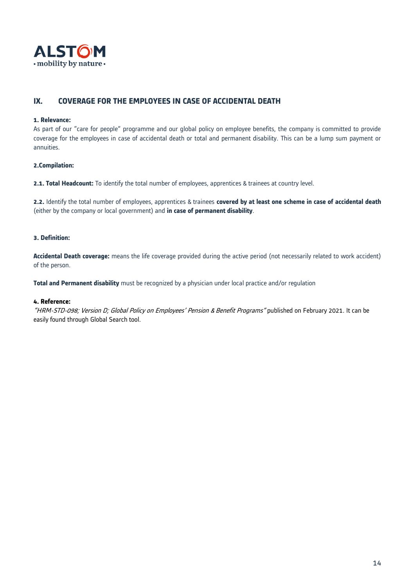

# **IX. COVERAGE FOR THE EMPLOYEES IN CASE OF ACCIDENTAL DEATH**

#### **1. Relevance:**

As part of our "care for people" programme and our global policy on employee benefits, the company is committed to provide coverage for the employees in case of accidental death or total and permanent disability. This can be a lump sum payment or annuities.

# **2.Compilation:**

**2.1. Total Headcount:** To identify the total number of employees, apprentices & trainees at country level.

**2.2.** Identify the total number of employees, apprentices & trainees **covered by at least one scheme in case of accidental death** (either by the company or local government) and **in case of permanent disability**.

# **3. Definition:**

**Accidental Death coverage:** means the life coverage provided during the active period (not necessarily related to work accident) of the person.

**Total and Permanent disability** must be recognized by a physician under local practice and/or regulation

#### **4. Reference:**

"HRM-STD-098; Version D; Global Policy on Employees' Pension & Benefit Programs" published on February 2021. It can be easily found through Global Search tool.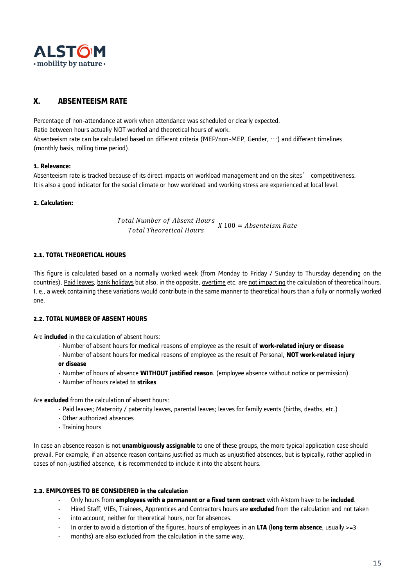

# **X. ABSENTEEISM RATE**

Percentage of non-attendance at work when attendance was scheduled or clearly expected. Ratio between hours actually NOT worked and theoretical hours of work. Absenteeism rate can be calculated based on different criteria (MEP/non-MEP, Gender, …) and different timelines (monthly basis, rolling time period).

# **1. Relevance:**

Absenteeism rate is tracked because of its direct impacts on workload management and on the sites' competitiveness. It is also a good indicator for the social climate or how workload and working stress are experienced at local level.

### **2. Calculation:**

ℎ <sup>100</sup> <sup>=</sup>

# **2.1. TOTAL THEORETICAL HOURS**

This figure is calculated based on a normally worked week (from Monday to Friday / Sunday to Thursday depending on the countries). Paid leaves, bank holidays but also, in the opposite, overtime etc. are not impacting the calculation of theoretical hours. I. e., a week containing these variations would contribute in the same manner to theoretical hours than a fully or normally worked one.

### **2.2. TOTAL NUMBER OF ABSENT HOURS**

Are **included** in the calculation of absent hours:

- Number of absent hours for medical reasons of employee as the result of **work-related injury or disease**
- Number of absent hours for medical reasons of employee as the result of Personal, **NOT work-related injury**
- **or disease**
- Number of hours of absence **WITHOUT justified reason**. (employee absence without notice or permission)
- Number of hours related to **strikes**

Are **excluded** from the calculation of absent hours:

- Paid leaves; Maternity / paternity leaves, parental leaves; leaves for family events (births, deaths, etc.)
- Other authorized absences
- Training hours

In case an absence reason is not **unambiguously assignable** to one of these groups, the more typical application case should prevail. For example, if an absence reason contains justified as much as unjustified absences, but is typically, rather applied in cases of non-justified absence, it is recommended to include it into the absent hours.

# **2.3. EMPLOYEES TO BE CONSIDERED in the calculation**

- Only hours from **employees with a permanent or a fixed term contract** with Alstom have to be **included**.
- Hired Staff, VIEs, Trainees, Apprentices and Contractors hours are **excluded** from the calculation and not taken
- into account, neither for theoretical hours, nor for absences.
- In order to avoid a distortion of the figures, hours of employees in an **LTA** (**long term absence**, usually >=3
- months) are also excluded from the calculation in the same way.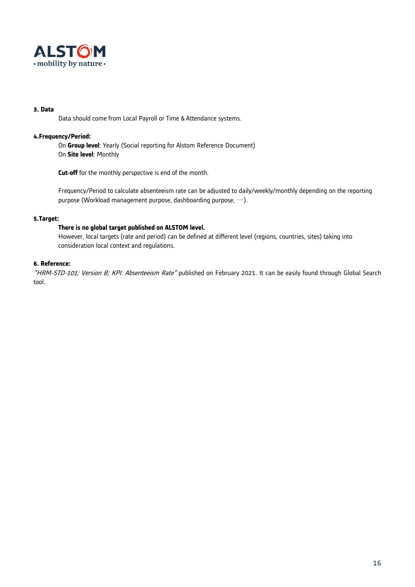

### **3. Data**

Data should come from Local Payroll or Time & Attendance systems.

# **4.Frequency/Period:**

On **Group level**: Yearly (Social reporting for Alstom Reference Document) On **Site level**: Monthly

**Cut-off** for the monthly perspective is end of the month.

Frequency/Period to calculate absenteeism rate can be adjusted to daily/weekly/monthly depending on the reporting purpose (Workload management purpose, dashboarding purpose, …).

# **5.Target:**

# **There is no global target published on ALSTOM level.**

However, local targets (rate and period) can be defined at different level (regions, countries, sites) taking into consideration local context and regulations.

# **6. Reference:**

"HRM-STD-101; Version B; KPI: Absenteeism Rate" published on February 2021. It can be easily found through Global Search tool.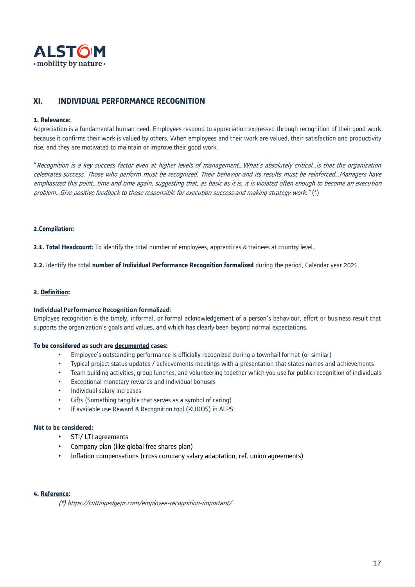

# **XI. INDIVIDUAL PERFORMANCE RECOGNITION**

#### **1. Relevance:**

Appreciation is a fundamental human need. Employees respond to appreciation expressed through recognition of their good work because it confirms their work is valued by others. When employees and their work are valued, their satisfaction and productivity rise, and they are motivated to maintain or improve their good work.

"Recognition is a key success factor even at higher levels of management…What's absolutely critical…is that the organization celebrates success. Those who perform must be recognized. Their behavior and its results must be reinforced…Managers have emphasized this point…time and time again, suggesting that, as basic as it is, it is violated often enough to become an execution problem…Give positive feedback to those responsible for execution success and making strategy work." (\*)

#### **2.Compilation:**

**2.1. Total Headcount:** To identify the total number of employees, apprentices & trainees at country level.

**2.2.** Identify the total **number of Individual Performance Recognition formalized** during the period, Calendar year 2021.

### **3. Definition:**

#### **Individual Performance Recognition formalized:**

Employee recognition is the timely, informal, or formal acknowledgement of a person's behaviour, effort or business result that supports the organization's goals and values, and which has clearly been beyond normal expectations.

#### **To be considered as such are documented cases:**

- Employee's outstanding performance is officially recognized during a townhall format (or similar)
- Typical project status updates / achievements meetings with a presentation that states names and achievements
- Team building activities, group lunches, and volunteering together which you use for public recognition of individuals
- Exceptional monetary rewards and individual bonuses
- Individual salary increases
- Gifts (Something tangible that serves as a symbol of caring)
- If available use Reward & Recognition tool (KUDOS) in ALPS

#### **Not to be considered:**

- STI/ LTI agreements
- Company plan (like global free shares plan)
- Inflation compensations (cross company salary adaptation, ref. union agreements)

### **4. Reference:**

(\*) https://cuttingedgepr.com/employee-recognition-important/